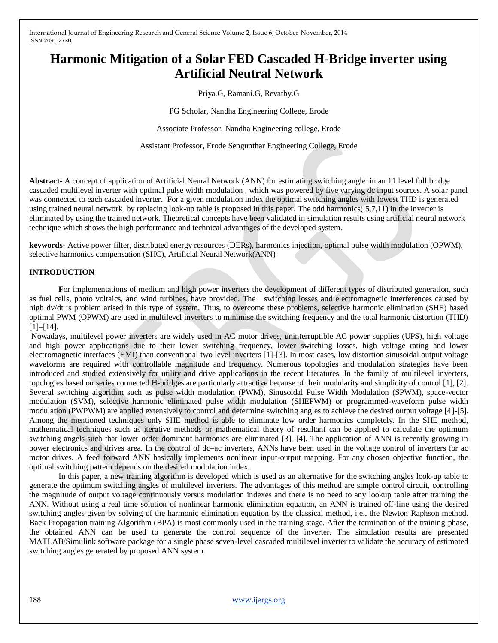# **Harmonic Mitigation of a Solar FED Cascaded H-Bridge inverter using Artificial Neutral Network**

Priya.G, Ramani.G, Revathy.G

PG Scholar, Nandha Engineering College, Erode

Associate Professor, Nandha Engineering college, Erode

Assistant Professor, Erode Sengunthar Engineering College, Erode

**Abstract-** A concept of application of Artificial Neural Network (ANN) for estimating switching angle in an 11 level full bridge cascaded multilevel inverter with optimal pulse width modulation , which was powered by five varying dc input sources. A solar panel was connected to each cascaded inverter. For a given modulation index the optimal switching angles with lowest THD is generated using trained neural network by replacing look-up table is proposed in this paper. The odd harmonics( 5,7,11) in the inverter is eliminated by using the trained network. Theoretical concepts have been validated in simulation results using artificial neural network technique which shows the high performance and technical advantages of the developed system.

**keywords-** Active power filter, distributed energy resources (DERs), harmonics injection, optimal pulse width modulation (OPWM), selective harmonics compensation (SHC), Artificial Neural Network(ANN)

#### **INTRODUCTION**

**F**or implementations of medium and high power inverters the development of different types of distributed generation, such as fuel cells, photo voltaics, and wind turbines, have provided. The switching losses and electromagnetic interferences caused by high dv/dt is problem arised in this type of system. Thus, to overcome these problems, selective harmonic elimination (SHE) based optimal PWM (OPWM) are used in multilevel inverters to minimise the switching frequency and the total harmonic distortion (THD) [1]–[14].

Nowadays, multilevel power inverters are widely used in AC motor drives, uninterruptible AC power supplies (UPS), high voltage and high power applications due to their lower switching frequency, lower switching losses, high voltage rating and lower electromagnetic interfaces (EMI) than conventional two level inverters [1]-[3]. In most cases, low distortion sinusoidal output voltage waveforms are required with controllable magnitude and frequency. Numerous topologies and modulation strategies have been introduced and studied extensively for utility and drive applications in the recent literatures. In the family of multilevel inverters, topologies based on series connected H-bridges are particularly attractive because of their modularity and simplicity of control [1], [2]. Several switching algorithm such as pulse width modulation (PWM), Sinusoidal Pulse Width Modulation (SPWM), space-vector modulation (SVM), selective harmonic eliminated pulse width modulation (SHEPWM) or programmed-waveform pulse width modulation (PWPWM) are applied extensively to control and determine switching angles to achieve the desired output voltage [4]-[5]. Among the mentioned techniques only SHE method is able to eliminate low order harmonics completely. In the SHE method, mathematical techniques such as iterative methods or mathematical theory of resultant can be applied to calculate the optimum switching angels such that lower order dominant harmonics are eliminated [3], [4]. The application of ANN is recently growing in power electronics and drives area. In the control of dc–ac inverters, ANNs have been used in the voltage control of inverters for ac motor drives. A feed forward ANN basically implements nonlinear input-output mapping. For any chosen objective function, the optimal switching pattern depends on the desired modulation index.

In this paper, a new training algorithm is developed which is used as an alternative for the switching angles look-up table to generate the optimum switching angles of multilevel inverters. The advantages of this method are simple control circuit, controlling the magnitude of output voltage continuously versus modulation indexes and there is no need to any lookup table after training the ANN. Without using a real time solution of nonlinear harmonic elimination equation, an ANN is trained off-line using the desired switching angles given by solving of the harmonic elimination equation by the classical method, i.e., the Newton Raphson method. Back Propagation training Algorithm (BPA) is most commonly used in the training stage. After the termination of the training phase, the obtained ANN can be used to generate the control sequence of the inverter. The simulation results are presented MATLAB/Simulink software package for a single phase seven-level cascaded multilevel inverter to validate the accuracy of estimated switching angles generated by proposed ANN system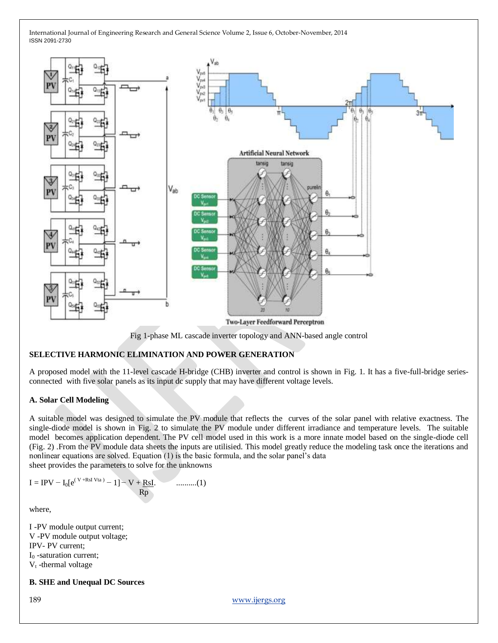

Fig 1-phase ML cascade inverter topology and ANN-based angle control

## **SELECTIVE HARMONIC ELIMINATION AND POWER GENERATION**

A proposed model with the 11-level cascade H-bridge (CHB) inverter and control is shown in Fig. 1. It has a five-full-bridge seriesconnected with five solar panels as its input dc supply that may have different voltage levels.

### **A. Solar Cell Modeling**

A suitable model was designed to simulate the PV module that reflects the curves of the solar panel with relative exactness. The single-diode model is shown in Fig. 2 to simulate the PV module under different irradiance and temperature levels. The suitable model becomes application dependent. The PV cell model used in this work is a more innate model based on the single-diode cell (Fig. 2) .From the PV module data sheets the inputs are utilisied. This model greatly reduce the modeling task once the iterations and nonlinear equations are solved. Equation (1) is the basic formula, and the solar panel's data sheet provides the parameters to solve for the unknowns

$$
I = IPV - I_0[e^{(V+RsI\;Vta)} - 1] - V + \underbrace{RsI}_{Rp}.\qquad\qquad\qquad...(1)
$$

where,

I -PV module output current; V -PV module output voltage; IPV- PV current;  $I<sub>0</sub>$  -saturation current:  $V_t$ -thermal voltage

## **B. SHE and Unequal DC Sources**

189 [www.ijergs.org](http://www.ijergs.org/)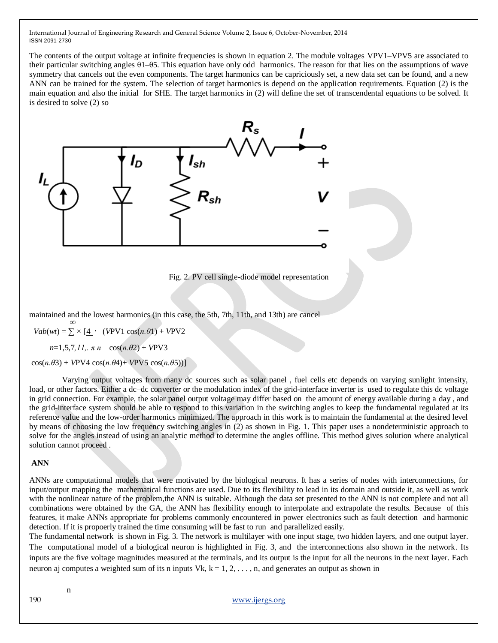The contents of the output voltage at infinite frequencies is shown in equation 2. The module voltages VPV1–VPV5 are associated to their particular switching angles θ1–θ5. This equation have only odd harmonics. The reason for that lies on the assumptions of wave symmetry that cancels out the even components. The target harmonics can be capriciously set, a new data set can be found, and a new ANN can be trained for the system. The selection of target harmonics is depend on the application requirements. Equation (2) is the main equation and also the initial for SHE. The target harmonics in (2) will define the set of transcendental equations to be solved. It is desired to solve (2) so



Fig. 2. PV cell single-diode model representation

maintained and the lowest harmonics (in this case, the 5th, 7th, 11th, and 13th) are cancel *∞*

 $Vab(wt) = \sum x [4 \cdot (VPV1 \cos(n.\theta1) + VPV2$ 

 *n*=1*,*5*,*7*,11,. π n* cos(*n.θ*2) + *V*PV3

 $cos(n.\theta_3) + VPV4 cos(n.\theta_4) + VPV5 cos(n.\theta_5))$ ]

 Varying output voltages from many dc sources such as solar panel , fuel cells etc depends on varying sunlight intensity, load, or other factors. Either a dc–dc converter or the modulation index of the grid-interface inverter is used to regulate this dc voltage in grid connection. For example, the solar panel output voltage may differ based on the amount of energy available during a day , and the grid-interface system should be able to respond to this variation in the switching angles to keep the fundamental regulated at its reference value and the low-order harmonics minimized. The approach in this work is to maintain the fundamental at the desired level by means of choosing the low frequency switching angles in (2) as shown in Fig. 1. This paper uses a nondeterministic approach to solve for the angles instead of using an analytic method to determine the angles offline. This method gives solution where analytical solution cannot proceed .

### **ANN**

ANNs are computational models that were motivated by the biological neurons. It has a series of nodes with interconnections, for input/output mapping the mathematical functions are used. Due to its flexibility to lead in its domain and outside it, as well as work with the nonlinear nature of the problem,the ANN is suitable. Although the data set presented to the ANN is not complete and not all combinations were obtained by the GA, the ANN has flexibility enough to interpolate and extrapolate the results. Because of this features, it make ANNs appropriate for problems commonly encountered in power electronics such as fault detection and harmonic detection. If it is propoerly trained the time consuming will be fast to run and parallelized easily.

The fundamental network is shown in Fig. 3. The network is multilayer with one input stage, two hidden layers, and one output layer. The computational model of a biological neuron is highlighted in Fig. 3, and the interconnections also shown in the network. Its inputs are the five voltage magnitudes measured at the terminals, and its output is the input for all the neurons in the next layer. Each neuron aj computes a weighted sum of its n inputs Vk,  $k = 1, 2, \ldots, n$ , and generates an output as shown in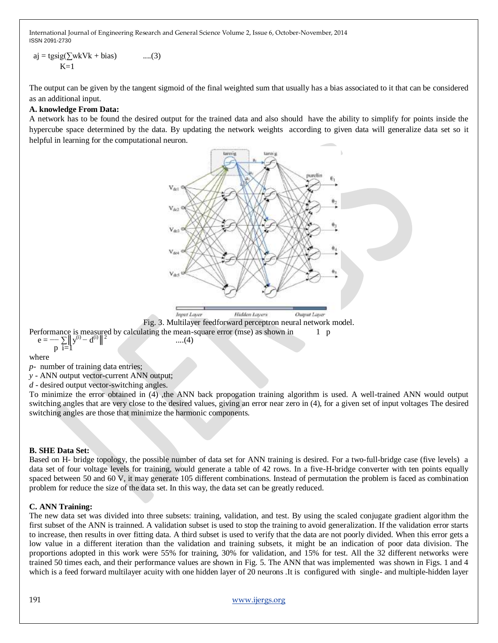$aj = tgsig(\sum wkVk + bias)$  ....(3)  $K=1$ 

The output can be given by the tangent sigmoid of the final weighted sum that usually has a bias associated to it that can be considered as an additional input.

## **A. knowledge From Data:**

A network has to be found the desired output for the trained data and also should have the ability to simplify for points inside the hypercube space determined by the data. By updating the network weights according to given data will generalize data set so it helpful in learning for the computational neuron.



where

*p-* number of training data entries;

*y -* ANN output vector-current ANN output;

*d -* desired output vector-switching angles.

To minimize the error obtained in (4) ,the ANN back propogation training algorithm is used. A well-trained ANN would output switching angles that are very close to the desired values, giving an error near zero in (4), for a given set of input voltages The desired switching angles are those that minimize the harmonic components.

### **B. SHE Data Set:**

Based on H- bridge topology, the possible number of data set for ANN training is desired. For a two-full-bridge case (five levels) a data set of four voltage levels for training, would generate a table of 42 rows. In a five-H-bridge converter with ten points equally spaced between 50 and 60 V, it may generate 105 different combinations. Instead of permutation the problem is faced as combination problem for reduce the size of the data set. In this way, the data set can be greatly reduced.

### **C. ANN Training:**

The new data set was divided into three subsets: training, validation, and test. By using the scaled conjugate gradient algorithm the first subset of the ANN is trainned. A validation subset is used to stop the training to avoid generalization. If the validation error starts to increase, then results in over fitting data. A third subset is used to verify that the data are not poorly divided. When this error gets a low value in a different iteration than the validation and training subsets, it might be an indication of poor data division. The proportions adopted in this work were 55% for training, 30% for validation, and 15% for test. All the 32 different networks were trained 50 times each, and their performance values are shown in Fig. 5. The ANN that was implemented was shown in Figs. 1 and 4 which is a feed forward multilayer acuity with one hidden layer of 20 neurons. It is configured with single- and multiple-hidden layer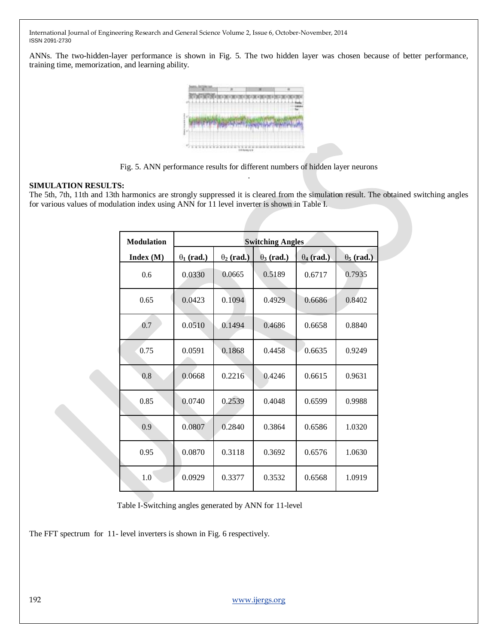ANNs. The two-hidden-layer performance is shown in Fig. 5. The two hidden layer was chosen because of better performance, training time, memorization, and learning ability.



Fig. 5. ANN performance results for different numbers of hidden layer neurons .

### **SIMULATION RESULTS:**

The 5th, 7th, 11th and 13th harmonics are strongly suppressed it is cleared from the simulation result. The obtained switching angles for various values of modulation index using ANN for 11 level inverter is shown in Table I.

| <b>Modulation</b> | <b>Switching Angles</b> |                   |                   |                   |                   |
|-------------------|-------------------------|-------------------|-------------------|-------------------|-------------------|
| Index(M)          | $\theta_1$ (rad.)       | $\theta_2$ (rad.) | $\theta_3$ (rad.) | $\theta_4$ (rad.) | $\theta_5$ (rad.) |
| 0.6               | 0.0330                  | 0.0665            | 0.5189            | 0.6717            | 0.7935            |
| 0.65              | 0.0423                  | 0.1094            | 0.4929            | 0.6686            | 0.8402            |
| 0.7               | 0.0510                  | 0.1494            | 0.4686            | 0.6658            | 0.8840            |
| 0.75              | 0.0591                  | 0.1868            | 0.4458            | 0.6635            | 0.9249            |
| 0.8               | 0.0668                  | 0.2216            | 0.4246            | 0.6615            | 0.9631            |
| 0.85              | 0.0740                  | 0.2539            | 0.4048            | 0.6599            | 0.9988            |
| 0.9               | 0.0807                  | 0.2840            | 0.3864            | 0.6586            | 1.0320            |
| 0.95              | 0.0870                  | 0.3118            | 0.3692            | 0.6576            | 1.0630            |
| 1.0               | 0.0929                  | 0.3377            | 0.3532            | 0.6568            | 1.0919            |

Table I-Switching angles generated by ANN for 11-level

The FFT spectrum for 11- level inverters is shown in Fig. 6 respectively.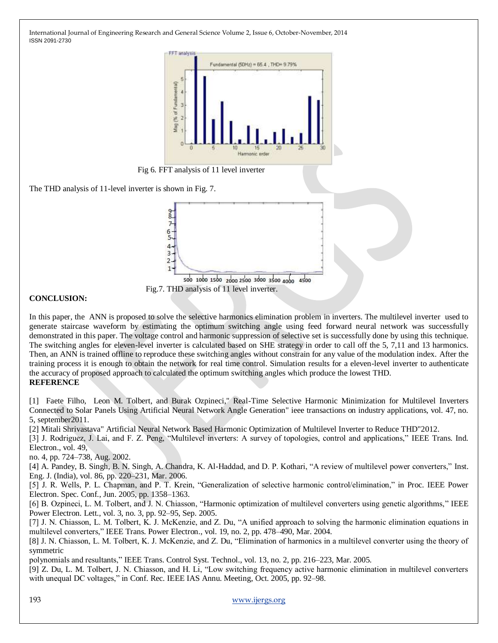

Fig 6. FFT analysis of 11 level inverter

The THD analysis of 11-level inverter is shown in Fig. 7.



**CONCLUSION:**

In this paper, the ANN is proposed to solve the selective harmonics elimination problem in inverters. The multilevel inverter used to generate staircase waveform by estimating the optimum switching angle using feed forward neural network was successfully demonstrated in this paper. The voltage control and harmonic suppression of selective set is successfully done by using this technique. The switching angles for eleven-level inverter is calculated based on SHE strategy in order to call off the 5, 7,11 and 13 harmonics. Then, an ANN is trained offline to reproduce these switching angles without constrain for any value of the modulation index. After the training process it is enough to obtain the network for real time control. Simulation results for a eleven-level inverter to authenticate the accuracy of proposed approach to calculated the optimum switching angles which produce the lowest THD. **REFERENCE**

[1] Faete Filho, Leon M. Tolbert, and Burak Ozpineci," Real-Time Selective Harmonic Minimization for Multilevel Inverters Connected to Solar Panels Using Artificial Neural Network Angle Generation" ieee transactions on industry applications, vol. 47, no. 5, september2011.

[2] Mitali Shrivastava" Artificial Neural Network Based Harmonic Optimization of Multilevel Inverter to Reduce THD"2012.

[3] J. Rodriguez, J. Lai, and F. Z. Peng, "Multilevel inverters: A survey of topologies, control and applications," IEEE Trans. Ind. Electron., vol. 49,

no. 4, pp. 724–738, Aug. 2002.

[4] A. Pandey, B. Singh, B. N. Singh, A. Chandra, K. Al-Haddad, and D. P. Kothari, "A review of multilevel power converters," Inst. Eng. J. (India), vol. 86, pp. 220–231, Mar. 2006.

[5] J. R. Wells, P. L. Chapman, and P. T. Krein, "Generalization of selective harmonic control/elimination," in Proc. IEEE Power Electron. Spec. Conf., Jun. 2005, pp. 1358–1363.

[6] B. Ozpineci, L. M. Tolbert, and J. N. Chiasson, "Harmonic optimization of multilevel converters using genetic algorithms," IEEE Power Electron. Lett., vol. 3, no. 3, pp. 92–95, Sep. 2005.

[7] J. N. Chiasson, L. M. Tolbert, K. J. McKenzie, and Z. Du, "A unified approach to solving the harmonic elimination equations in multilevel converters," IEEE Trans. Power Electron., vol. 19, no. 2, pp. 478–490, Mar. 2004.

[8] J. N. Chiasson, L. M. Tolbert, K. J. McKenzie, and Z. Du, "Elimination of harmonics in a multilevel converter using the theory of symmetric

polynomials and resultants," IEEE Trans. Control Syst. Technol., vol. 13, no. 2, pp. 216–223, Mar. 2005.

[9] Z. Du, L. M. Tolbert, J. N. Chiasson, and H. Li, "Low switching frequency active harmonic elimination in multilevel converters with unequal DC voltages," in Conf. Rec. IEEE IAS Annu. Meeting, Oct. 2005, pp. 92–98.